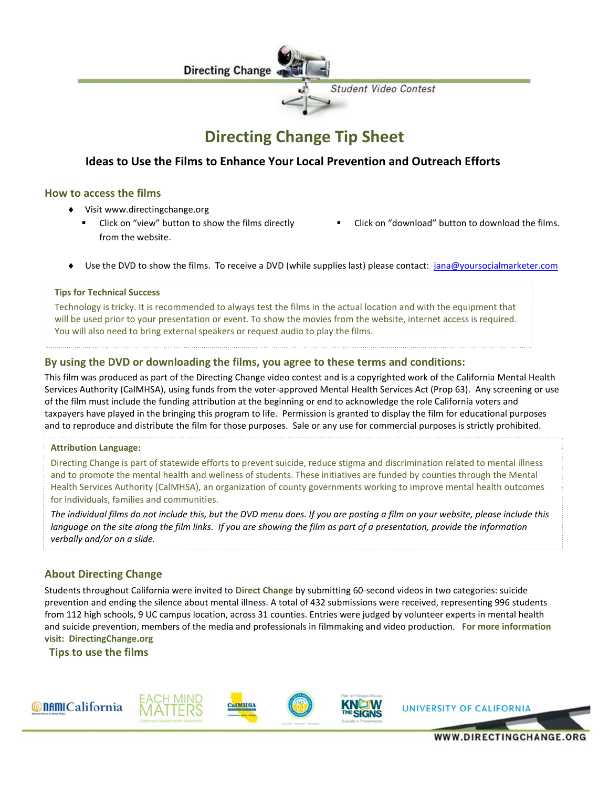

# **Directing Change Tip Sheet**

# **Ideas to Use the Films to Enhance Your Local Prevention and Outreach Efforts**

# **How to access the films**

- Visit www.directingchange.org
	- Click on "view" button to show the films directly from the website.
- Click on "download" button to download the films.
- Use the DVD to show the films. To receive a DVD (while supplies last) please contact: [jana@yoursocialmarketer.com](mailto:jana@yoursocialmarketer.com)

#### **Tips for Technical Success**

Technology is tricky. It is recommended to always test the films in the actual location and with the equipment that will be used prior to your presentation or event. To show the movies from the website, internet access is required. You will also need to bring external speakers or request audio to play the films.

## **By using the DVD or downloading the films, you agree to these terms and conditions:**

This film was produced as part of the Directing Change video contest and is a copyrighted work of the California Mental Health Services Authority (CalMHSA), using funds from the voter-approved Mental Health Services Act (Prop 63). Any screening or use of the film must include the funding attribution at the beginning or end to acknowledge the role California voters and taxpayers have played in the bringing this program to life. Permission is granted to display the film for educational purposes and to reproduce and distribute the film for those purposes. Sale or any use for commercial purposes is strictly prohibited.

#### **Attribution Language:**

Directing Change is part of statewide efforts to prevent suicide, reduce stigma and discrimination related to mental illness and to promote the mental health and wellness of students. These initiatives are funded by counties through the Mental Health Services Authority (CalMHSA), an organization of county governments working to improve mental health outcomes for individuals, families and communities.

*The individual films do not include this, but the DVD menu does. If you are posting a film on your website, please include this language on the site along the film links. If you are showing the film as part of a presentation, provide the information verbally and/or on a slide.*

# **About Directing Change**

Students throughout California were invited to **Direct Change** by submitting 60-second videos in two categories: suicide prevention and ending the silence about mental illness. A total of 432 submissions were received, representing 996 students from 112 high schools, 9 UC campus location, across 31 counties. Entries were judged by volunteer experts in mental health and suicide prevention, members of the media and professionals in filmmaking and video production. **For more information visit: DirectingChange.org**

**Tips to use the films**



WWW.DIRECTINGCHANGE.OR